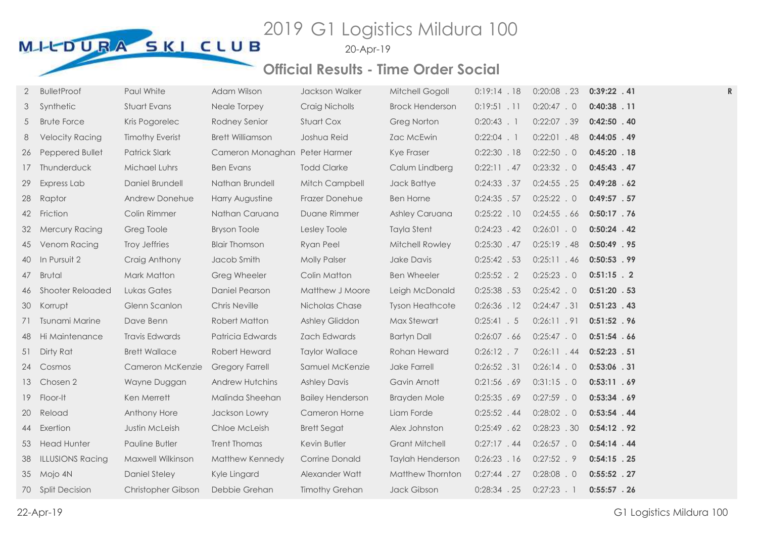# MILLOURA SKI CLUB<sup>2019</sup> G1 Logistics Mildura 100

20-Apr-19

### **Official Results - Time Order Social**

| 2  | <b>BulletProof</b>      | Paul White             | Adam Wilson                   | Jackson Walker          | Mitchell Gogoll        | 0:19:14.18     | $0:20:08$ . 23 | $0:39:22$ . 41 | R |
|----|-------------------------|------------------------|-------------------------------|-------------------------|------------------------|----------------|----------------|----------------|---|
| 3  | Synthetic               | Stuart Evans           | Neale Torpey                  | Craig Nicholls          | <b>Brock Henderson</b> | $0:19:51$ . 11 | $0:20:47$ . 0  | $0:40:38$ . 11 |   |
| 5  | <b>Brute Force</b>      | Kris Pogorelec         | Rodney Senior                 | Stuart Cox              | <b>Greg Norton</b>     | $0:20:43$ . 1  | 0:22:07.39     | $0:42:50$ . 40 |   |
| 8  | <b>Velocity Racing</b>  | <b>Timothy Everist</b> | <b>Brett Williamson</b>       | Joshua Reid             | Zac McEwin             | $0:22:04$ . 1  | $0:22:01$ . 48 | $0:44:05$ . 49 |   |
| 26 | Peppered Bullet         | <b>Patrick Slark</b>   | Cameron Monaghan Peter Harmer |                         | Kye Fraser             | $0:22:30$ . 18 | $0:22:50$ . 0  | $0:45:20$ . 18 |   |
| 17 | Thunderduck             | <b>Michael Luhrs</b>   | <b>Ben Evans</b>              | <b>Todd Clarke</b>      | Calum Lindberg         | 0:22:11.47     | 0:23:32.0      | $0:45:43$ . 47 |   |
| 29 | Express Lab             | Daniel Brundell        | Nathan Brundell               | Mitch Campbell          | Jack Battye            | 0:24:33.37     | $0:24:55$ . 25 | 0:49:28.62     |   |
| 28 | Raptor                  | Andrew Donehue         | Harry Augustine               | Frazer Donehue          | <b>Ben Horne</b>       | $0:24:35$ . 57 | $0:25:22$ . 0  | $0:49:57$ . 57 |   |
|    | 42 Friction             | Colin Rimmer           | Nathan Caruana                | Duane Rimmer            | <b>Ashley Caruana</b>  | $0:25:22$ . 10 | 0:24:55.66     | $0:50:17$ . 76 |   |
| 32 | <b>Mercury Racing</b>   | Greg Toole             | <b>Bryson Toole</b>           | Lesley Toole            | Tayla Stent            | $0:24:23$ . 42 | $0:26:01$ . 0  | $0:50:24$ . 42 |   |
| 45 | Venom Racing            | Troy Jeffries          | <b>Blair Thomson</b>          | Ryan Peel               | Mitchell Rowley        | $0:25:30$ . 47 | $0:25:19$ . 48 | $0:50:49$ . 95 |   |
| 40 | In Pursuit 2            | Craig Anthony          | Jacob Smith                   | <b>Molly Palser</b>     | Jake Davis             | 0:25:42 .53    | 0:25:11.46     | $0:50:53$ . 99 |   |
| 47 | <b>Brutal</b>           | <b>Mark Matton</b>     | Greg Wheeler                  | Colin Matton            | <b>Ben Wheeler</b>     | $0:25:52$ . 2  | $0:25:23$ . 0  | $0:51:15$ . 2  |   |
|    | 46 Shooter Reloaded     | Lukas Gates            | Daniel Pearson                | Matthew J Moore         | Leigh McDonald         | $0:25:38$ .53  | $0:25:42$ . 0  | $0:51:20$ . 53 |   |
| 30 | Korrupt                 | Glenn Scanlon          | <b>Chris Neville</b>          | Nicholas Chase          | <b>Tyson Heathcote</b> | $0:26:36$ . 12 | 0:24:47.31     | $0:51:23$ . 43 |   |
| 71 | Tsunami Marine          | Dave Benn              | Robert Matton                 | <b>Ashley Gliddon</b>   | Max Stewart            | 0:25:41.5      | 0:26:11.91     | $0:51:52$ . 96 |   |
| 48 | Hi Maintenance          | <b>Travis Edwards</b>  | Patricia Edwards              | Zach Edwards            | <b>Bartyn Dall</b>     | $0:26:07$ . 66 | 0:25:47.0      | 0:51:54.66     |   |
| 51 | Dirty Rat               | <b>Brett Wallace</b>   | Robert Heward                 | <b>Taylor Wallace</b>   | Rohan Heward           | $0:26:12$ . 7  | $0:26:11$ . 44 | $0:52:23$ . 51 |   |
|    | 24 Cosmos               | Cameron McKenzie       | <b>Gregory Farrell</b>        | Samuel McKenzie         | Jake Farrell           | $0:26:52$ . 31 | 0:26:14.0      | $0:53:06$ . 31 |   |
| 13 | Chosen 2                | Wayne Duggan           | Andrew Hutchins               | <b>Ashley Davis</b>     | Gavin Arnott           | 0:21:56 .69    | $0:31:15$ . 0  | 0:53:11.69     |   |
| 19 | Floor-It                | Ken Merrett            | Malinda Sheehan               | <b>Bailey Henderson</b> | <b>Brayden Mole</b>    | 0:25:35.69     | $0:27:59$ . 0  | 0:53:34.69     |   |
| 20 | Reload                  | Anthony Hore           | Jackson Lowry                 | Cameron Horne           | Liam Forde             | $0:25:52$ . 44 | $0:28:02$ . 0  | $0:53:54$ . 44 |   |
|    | 44 Exertion             | Justin McLeish         | Chloe McLeish                 | <b>Brett Segat</b>      | Alex Johnston          | 0:25:49.62     | 0:28:23.30     | $0:54:12$ . 92 |   |
|    | 53 Head Hunter          | Pauline Butler         | Trent Thomas                  | Kevin Butler            | <b>Grant Mitchell</b>  | $0:27:17$ . 44 | $0:26:57$ . 0  | $0:54:14$ . 44 |   |
| 38 | <b>ILLUSIONS Racing</b> | Maxwell Wilkinson      | Matthew Kennedy               | Corrine Donald          | Taylah Henderson       | $0:26:23$ . 16 | $0:27:52$ . 9  | $0:54:15$ . 25 |   |
|    | 35 Mojo 4N              | <b>Daniel Steley</b>   | Kyle Lingard                  | Alexander Watt          | Matthew Thornton       | $0:27:44$ . 27 | $0:28:08$ . 0  | $0:55:52$ . 27 |   |
|    | 70 Split Decision       | Christopher Gibson     | Debbie Grehan                 | <b>Timothy Grehan</b>   | Jack Gibson            | $0:28:34$ . 25 | $0:27:23$ . 1  | $0:55:57$ . 26 |   |